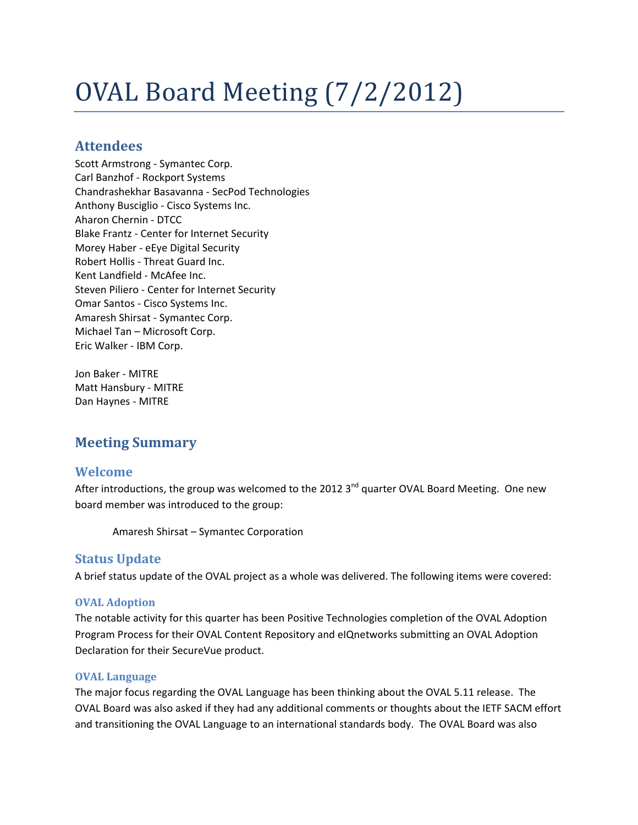# OVAL Board Meeting (7/2/2012)

## **Attendees**

Scott Armstrong - Symantec Corp. Carl Banzhof - Rockport Systems Chandrashekhar Basavanna - SecPod Technologies Anthony Busciglio - Cisco Systems Inc. Aharon Chernin - DTCC Blake Frantz - Center for Internet Security Morey Haber - eEye Digital Security Robert Hollis - Threat Guard Inc. Kent Landfield - McAfee Inc. Steven Piliero - Center for Internet Security Omar Santos - Cisco Systems Inc. Amaresh Shirsat - Symantec Corp. Michael Tan – Microsoft Corp. Eric Walker - IBM Corp.

Jon Baker - MITRE Matt Hansbury - MITRE Dan Haynes - MITRE

## **Meeting Summary**

## **Welcome**

After introductions, the group was welcomed to the 2012  $3<sup>nd</sup>$  quarter OVAL Board Meeting. One new board member was introduced to the group:

Amaresh Shirsat – Symantec Corporation

#### **Status Update**

A brief status update of the OVAL project as a whole was delivered. The following items were covered:

#### **OVAL Adoption**

The notable activity for this quarter has been Positive Technologies completion of the OVAL Adoption Program Process for their OVAL Content Repository and eIQnetworks submitting an OVAL Adoption Declaration for their SecureVue product.

#### **OVAL Language**

The major focus regarding the OVAL Language has been thinking about the OVAL 5.11 release. The OVAL Board was also asked if they had any additional comments or thoughts about the IETF SACM effort and transitioning the OVAL Language to an international standards body. The OVAL Board was also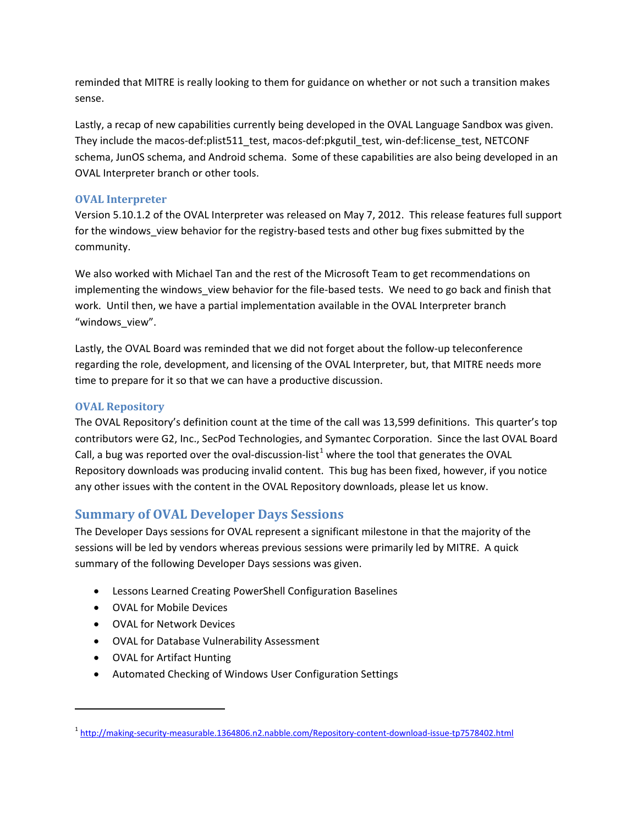reminded that MITRE is really looking to them for guidance on whether or not such a transition makes sense.

Lastly, a recap of new capabilities currently being developed in the OVAL Language Sandbox was given. They include the macos-def:plist511\_test, macos-def:pkgutil\_test, win-def:license\_test, NETCONF schema, JunOS schema, and Android schema. Some of these capabilities are also being developed in an OVAL Interpreter branch or other tools.

#### **OVAL Interpreter**

Version 5.10.1.2 of the OVAL Interpreter was released on May 7, 2012. This release features full support for the windows view behavior for the registry-based tests and other bug fixes submitted by the community.

We also worked with Michael Tan and the rest of the Microsoft Team to get recommendations on implementing the windows view behavior for the file-based tests. We need to go back and finish that work. Until then, we have a partial implementation available in the OVAL Interpreter branch "windows\_view".

Lastly, the OVAL Board was reminded that we did not forget about the follow-up teleconference regarding the role, development, and licensing of the OVAL Interpreter, but, that MITRE needs more time to prepare for it so that we can have a productive discussion.

#### **OVAL Repository**

The OVAL Repository's definition count at the time of the call was 13,599 definitions. This quarter's top contributors were G2, Inc., SecPod Technologies, and Symantec Corporation. Since the last OVAL Board Call, a bug was reported over the oval-discussion-list<sup>[1](#page-1-0)</sup> where the tool that generates the OVAL Repository downloads was producing invalid content. This bug has been fixed, however, if you notice any other issues with the content in the OVAL Repository downloads, please let us know.

## **Summary of OVAL Developer Days Sessions**

The Developer Days sessions for OVAL represent a significant milestone in that the majority of the sessions will be led by vendors whereas previous sessions were primarily led by MITRE. A quick summary of the following Developer Days sessions was given.

- Lessons Learned Creating PowerShell Configuration Baselines
- OVAL for Mobile Devices
- OVAL for Network Devices
- OVAL for Database Vulnerability Assessment
- OVAL for Artifact Hunting

 $\overline{\phantom{a}}$ 

• Automated Checking of Windows User Configuration Settings

<span id="page-1-0"></span><sup>1</sup> <http://making-security-measurable.1364806.n2.nabble.com/Repository-content-download-issue-tp7578402.html>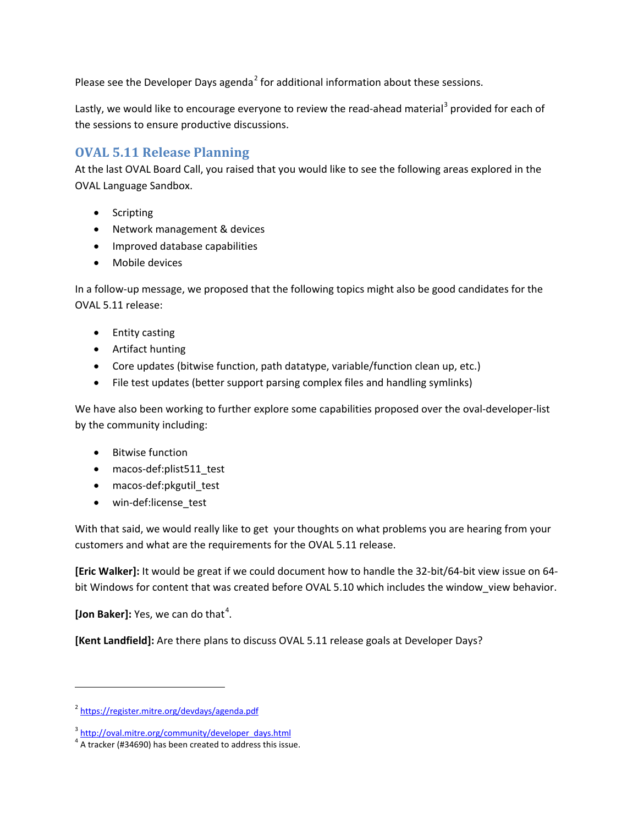Please see the Developer Days agenda<sup>[2](#page-2-0)</sup> for additional information about these sessions.

Lastly, we would like to encourage everyone to review the read-ahead material<sup>[3](#page-2-1)</sup> provided for each of the sessions to ensure productive discussions.

## **OVAL 5.11 Release Planning**

At the last OVAL Board Call, you raised that you would like to see the following areas explored in the OVAL Language Sandbox.

- Scripting
- Network management & devices
- Improved database capabilities
- Mobile devices

In a follow-up message, we proposed that the following topics might also be good candidates for the OVAL 5.11 release:

- Entity casting
- Artifact hunting
- Core updates (bitwise function, path datatype, variable/function clean up, etc.)
- File test updates (better support parsing complex files and handling symlinks)

We have also been working to further explore some capabilities proposed over the oval-developer-list by the community including:

- Bitwise function
- macos-def:plist511\_test
- macos-def:pkgutil test
- win-def:license\_test

With that said, we would really like to get your thoughts on what problems you are hearing from your customers and what are the requirements for the OVAL 5.11 release.

**[Eric Walker]:** It would be great if we could document how to handle the 32-bit/64-bit view issue on 64 bit Windows for content that was created before OVAL 5.10 which includes the window\_view behavior.

[Jon Baker]: Yes, we can do that<sup>[4](#page-2-2)</sup>.

 $\overline{\phantom{a}}$ 

**[Kent Landfield]:** Are there plans to discuss OVAL 5.11 release goals at Developer Days?

<span id="page-2-0"></span><sup>2</sup> <https://register.mitre.org/devdays/agenda.pdf>

<span id="page-2-1"></span><sup>&</sup>lt;sup>3</sup> [http://oval.mitre.org/community/developer\\_days.html](http://oval.mitre.org/community/developer_days.html)

<span id="page-2-2"></span> $4$  A tracker (#34690) has been created to address this issue.